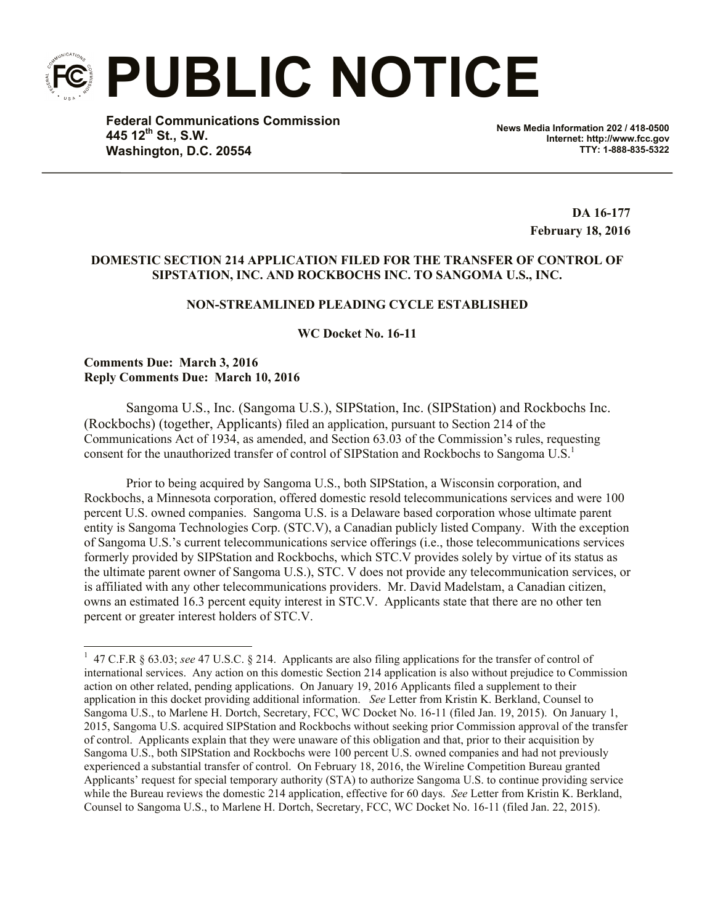**PUBLIC NOTICE**

**Federal Communications Commission 445 12th St., S.W. Washington, D.C. 20554**

**News Media Information 202 / 418-0500 Internet: http://www.fcc.gov TTY: 1-888-835-5322**

> **DA 16-177 February 18, 2016**

## **DOMESTIC SECTION 214 APPLICATION FILED FOR THE TRANSFER OF CONTROL OF SIPSTATION, INC. AND ROCKBOCHS INC. TO SANGOMA U.S., INC.**

# **NON-STREAMLINED PLEADING CYCLE ESTABLISHED**

**WC Docket No. 16-11**

### **Comments Due: March 3, 2016 Reply Comments Due: March 10, 2016**

l

Sangoma U.S., Inc. (Sangoma U.S.), SIPStation, Inc. (SIPStation) and Rockbochs Inc. (Rockbochs) (together, Applicants) filed an application, pursuant to Section 214 of the Communications Act of 1934, as amended, and Section 63.03 of the Commission's rules, requesting consent for the unauthorized transfer of control of SIPStation and Rockbochs to Sangoma U.S.<sup>1</sup>

Prior to being acquired by Sangoma U.S., both SIPStation, a Wisconsin corporation, and Rockbochs, a Minnesota corporation, offered domestic resold telecommunications services and were 100 percent U.S. owned companies. Sangoma U.S. is a Delaware based corporation whose ultimate parent entity is Sangoma Technologies Corp. (STC.V), a Canadian publicly listed Company. With the exception of Sangoma U.S.'s current telecommunications service offerings (i.e., those telecommunications services formerly provided by SIPStation and Rockbochs, which STC.V provides solely by virtue of its status as the ultimate parent owner of Sangoma U.S.), STC. V does not provide any telecommunication services, or is affiliated with any other telecommunications providers. Mr. David Madelstam, a Canadian citizen, owns an estimated 16.3 percent equity interest in STC.V. Applicants state that there are no other ten percent or greater interest holders of STC.V.

<sup>&</sup>lt;sup>1</sup> 47 C.F.R § 63.03; *see* 47 U.S.C. § 214. Applicants are also filing applications for the transfer of control of international services. Any action on this domestic Section 214 application is also without prejudice to Commission action on other related, pending applications. On January 19, 2016 Applicants filed a supplement to their application in this docket providing additional information. *See* Letter from Kristin K. Berkland, Counsel to Sangoma U.S., to Marlene H. Dortch, Secretary, FCC, WC Docket No. 16-11 (filed Jan. 19, 2015). On January 1, 2015, Sangoma U.S. acquired SIPStation and Rockbochs without seeking prior Commission approval of the transfer of control. Applicants explain that they were unaware of this obligation and that, prior to their acquisition by Sangoma U.S., both SIPStation and Rockbochs were 100 percent U.S. owned companies and had not previously experienced a substantial transfer of control. On February 18, 2016, the Wireline Competition Bureau granted Applicants' request for special temporary authority (STA) to authorize Sangoma U.S. to continue providing service while the Bureau reviews the domestic 214 application, effective for 60 days. *See* Letter from Kristin K. Berkland, Counsel to Sangoma U.S., to Marlene H. Dortch, Secretary, FCC, WC Docket No. 16-11 (filed Jan. 22, 2015).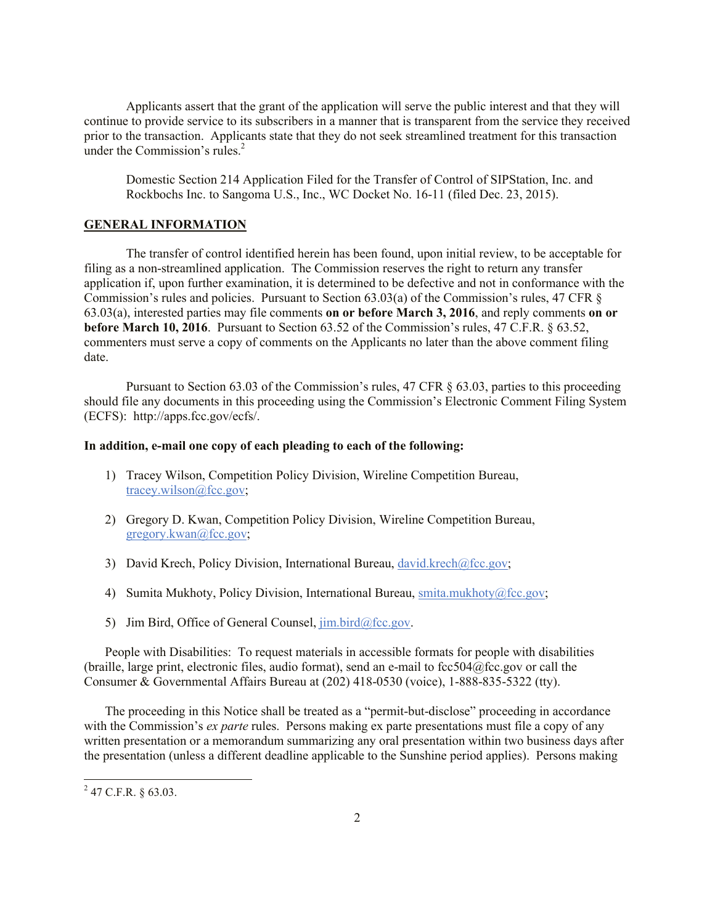Applicants assert that the grant of the application will serve the public interest and that they will continue to provide service to its subscribers in a manner that is transparent from the service they received prior to the transaction. Applicants state that they do not seek streamlined treatment for this transaction under the Commission's rules. $<sup>2</sup>$ </sup>

Domestic Section 214 Application Filed for the Transfer of Control of SIPStation, Inc. and Rockbochs Inc. to Sangoma U.S., Inc., WC Docket No. 16-11 (filed Dec. 23, 2015).

### **GENERAL INFORMATION**

The transfer of control identified herein has been found, upon initial review, to be acceptable for filing as a non-streamlined application. The Commission reserves the right to return any transfer application if, upon further examination, it is determined to be defective and not in conformance with the Commission's rules and policies. Pursuant to Section 63.03(a) of the Commission's rules, 47 CFR § 63.03(a), interested parties may file comments **on or before March 3, 2016**, and reply comments **on or before March 10, 2016**. Pursuant to Section 63.52 of the Commission's rules, 47 C.F.R. § 63.52, commenters must serve a copy of comments on the Applicants no later than the above comment filing date.

Pursuant to Section 63.03 of the Commission's rules, 47 CFR § 63.03, parties to this proceeding should file any documents in this proceeding using the Commission's Electronic Comment Filing System (ECFS): http://apps.fcc.gov/ecfs/.

#### **In addition, e-mail one copy of each pleading to each of the following:**

- 1) Tracey Wilson, Competition Policy Division, Wireline Competition Bureau, tracey.wilson@fcc.gov;
- 2) Gregory D. Kwan, Competition Policy Division, Wireline Competition Bureau, gregory.kwan@fcc.gov;
- 3) David Krech, Policy Division, International Bureau, david.krech@fcc.gov;
- 4) Sumita Mukhoty, Policy Division, International Bureau, smita.mukhoty@fcc.gov;
- 5) Jim Bird, Office of General Counsel,  $\lim_{h \to 0} \frac{\text{bird}}{\text{ar} \cdot \text{q}}$ .

People with Disabilities: To request materials in accessible formats for people with disabilities (braille, large print, electronic files, audio format), send an e-mail to fcc504@fcc.gov or call the Consumer & Governmental Affairs Bureau at (202) 418-0530 (voice), 1-888-835-5322 (tty).

The proceeding in this Notice shall be treated as a "permit-but-disclose" proceeding in accordance with the Commission's *ex parte* rules. Persons making ex parte presentations must file a copy of any written presentation or a memorandum summarizing any oral presentation within two business days after the presentation (unless a different deadline applicable to the Sunshine period applies). Persons making

l

 $^{2}$  47 C.F.R. § 63.03.